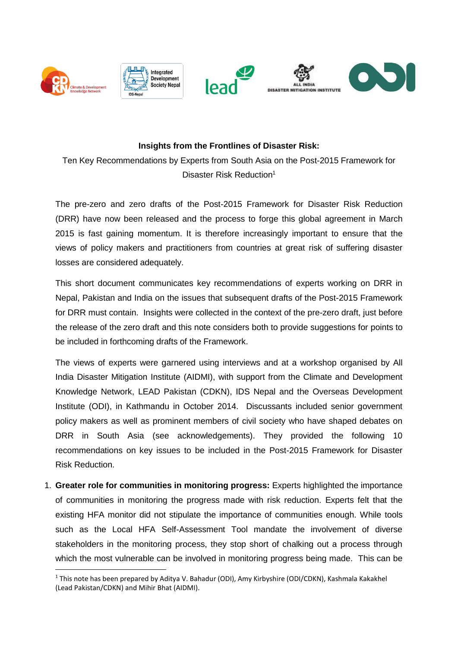

**.** 





## **Insights from the Frontlines of Disaster Risk:**

Ten Key Recommendations by Experts from South Asia on the Post-2015 Framework for Disaster Risk Reduction<sup>1</sup>

The pre-zero and zero drafts of the Post-2015 Framework for Disaster Risk Reduction (DRR) have now been released and the process to forge this global agreement in March 2015 is fast gaining momentum. It is therefore increasingly important to ensure that the views of policy makers and practitioners from countries at great risk of suffering disaster losses are considered adequately.

This short document communicates key recommendations of experts working on DRR in Nepal, Pakistan and India on the issues that subsequent drafts of the Post-2015 Framework for DRR must contain. Insights were collected in the context of the pre-zero draft, just before the release of the zero draft and this note considers both to provide suggestions for points to be included in forthcoming drafts of the Framework.

The views of experts were garnered using interviews and at a workshop organised by All India Disaster Mitigation Institute (AIDMI), with support from the Climate and Development Knowledge Network, LEAD Pakistan (CDKN), IDS Nepal and the Overseas Development Institute (ODI), in Kathmandu in October 2014. Discussants included senior government policy makers as well as prominent members of civil society who have shaped debates on DRR in South Asia (see acknowledgements). They provided the following 10 recommendations on key issues to be included in the Post-2015 Framework for Disaster Risk Reduction.

1. **Greater role for communities in monitoring progress:** Experts highlighted the importance of communities in monitoring the progress made with risk reduction. Experts felt that the existing HFA monitor did not stipulate the importance of communities enough. While tools such as the Local HFA Self-Assessment Tool mandate the involvement of diverse stakeholders in the monitoring process, they stop short of chalking out a process through which the most vulnerable can be involved in monitoring progress being made. This can be

<sup>1</sup> This note has been prepared by Aditya V. Bahadur (ODI), Amy Kirbyshire (ODI/CDKN), Kashmala Kakakhel (Lead Pakistan/CDKN) and Mihir Bhat (AIDMI).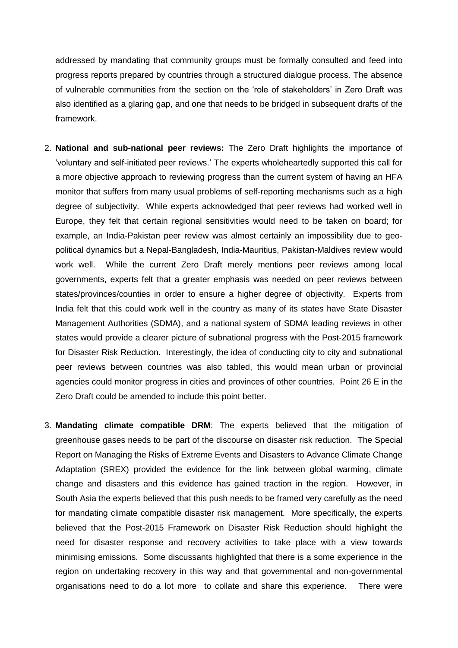addressed by mandating that community groups must be formally consulted and feed into progress reports prepared by countries through a structured dialogue process. The absence of vulnerable communities from the section on the 'role of stakeholders' in Zero Draft was also identified as a glaring gap, and one that needs to be bridged in subsequent drafts of the framework.

- 2. **National and sub-national peer reviews:** The Zero Draft highlights the importance of 'voluntary and self-initiated peer reviews.' The experts wholeheartedly supported this call for a more objective approach to reviewing progress than the current system of having an HFA monitor that suffers from many usual problems of self-reporting mechanisms such as a high degree of subjectivity. While experts acknowledged that peer reviews had worked well in Europe, they felt that certain regional sensitivities would need to be taken on board; for example, an India-Pakistan peer review was almost certainly an impossibility due to geopolitical dynamics but a Nepal-Bangladesh, India-Mauritius, Pakistan-Maldives review would work well. While the current Zero Draft merely mentions peer reviews among local governments, experts felt that a greater emphasis was needed on peer reviews between states/provinces/counties in order to ensure a higher degree of objectivity. Experts from India felt that this could work well in the country as many of its states have State Disaster Management Authorities (SDMA), and a national system of SDMA leading reviews in other states would provide a clearer picture of subnational progress with the Post-2015 framework for Disaster Risk Reduction. Interestingly, the idea of conducting city to city and subnational peer reviews between countries was also tabled, this would mean urban or provincial agencies could monitor progress in cities and provinces of other countries. Point 26 E in the Zero Draft could be amended to include this point better.
- 3. **Mandating climate compatible DRM**: The experts believed that the mitigation of greenhouse gases needs to be part of the discourse on disaster risk reduction. The Special Report on Managing the Risks of Extreme Events and Disasters to Advance Climate Change Adaptation (SREX) provided the evidence for the link between global warming, climate change and disasters and this evidence has gained traction in the region. However, in South Asia the experts believed that this push needs to be framed very carefully as the need for mandating climate compatible disaster risk management. More specifically, the experts believed that the Post-2015 Framework on Disaster Risk Reduction should highlight the need for disaster response and recovery activities to take place with a view towards minimising emissions. Some discussants highlighted that there is a some experience in the region on undertaking recovery in this way and that governmental and non-governmental organisations need to do a lot more to collate and share this experience. There were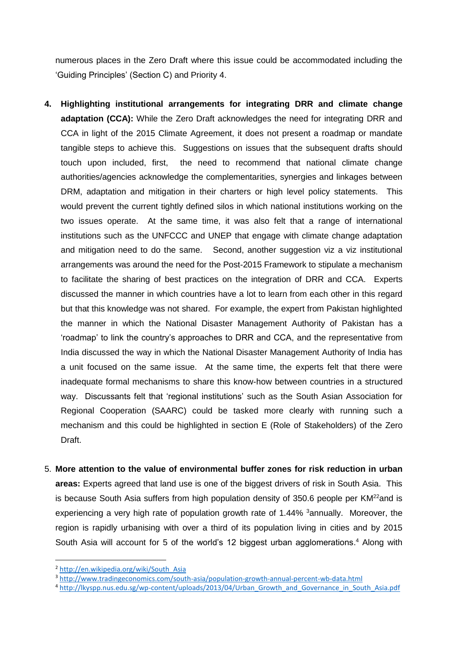numerous places in the Zero Draft where this issue could be accommodated including the 'Guiding Principles' (Section C) and Priority 4.

- **4. Highlighting institutional arrangements for integrating DRR and climate change adaptation (CCA):** While the Zero Draft acknowledges the need for integrating DRR and CCA in light of the 2015 Climate Agreement, it does not present a roadmap or mandate tangible steps to achieve this. Suggestions on issues that the subsequent drafts should touch upon included, first, the need to recommend that national climate change authorities/agencies acknowledge the complementarities, synergies and linkages between DRM, adaptation and mitigation in their charters or high level policy statements. This would prevent the current tightly defined silos in which national institutions working on the two issues operate. At the same time, it was also felt that a range of international institutions such as the UNFCCC and UNEP that engage with climate change adaptation and mitigation need to do the same. Second, another suggestion viz a viz institutional arrangements was around the need for the Post-2015 Framework to stipulate a mechanism to facilitate the sharing of best practices on the integration of DRR and CCA. Experts discussed the manner in which countries have a lot to learn from each other in this regard but that this knowledge was not shared. For example, the expert from Pakistan highlighted the manner in which the National Disaster Management Authority of Pakistan has a 'roadmap' to link the country's approaches to DRR and CCA, and the representative from India discussed the way in which the National Disaster Management Authority of India has a unit focused on the same issue. At the same time, the experts felt that there were inadequate formal mechanisms to share this know-how between countries in a structured way. Discussants felt that 'regional institutions' such as the South Asian Association for Regional Cooperation (SAARC) could be tasked more clearly with running such a mechanism and this could be highlighted in section E (Role of Stakeholders) of the Zero Draft.
- 5. **More attention to the value of environmental buffer zones for risk reduction in urban areas:** Experts agreed that land use is one of the biggest drivers of risk in South Asia. This is because South Asia suffers from high population density of  $350.6$  people per KM $^{22}$ and is experiencing a very high rate of population growth rate of 1.44% 3annually. Moreover, the region is rapidly urbanising with over a third of its population living in cities and by 2015 South Asia will account for 5 of the world's 12 biggest urban agglomerations. <sup>4</sup> Along with

**.** 

<sup>2</sup> [http://en.wikipedia.org/wiki/South\\_Asia](http://en.wikipedia.org/wiki/South_Asia)

<sup>3</sup> <http://www.tradingeconomics.com/south-asia/population-growth-annual-percent-wb-data.html>

<sup>4</sup> [http://lkyspp.nus.edu.sg/wp-content/uploads/2013/04/Urban\\_Growth\\_and\\_Governance\\_in\\_South\\_Asia.pdf](http://lkyspp.nus.edu.sg/wp-content/uploads/2013/04/Urban_Growth_and_Governance_in_South_Asia.pdf)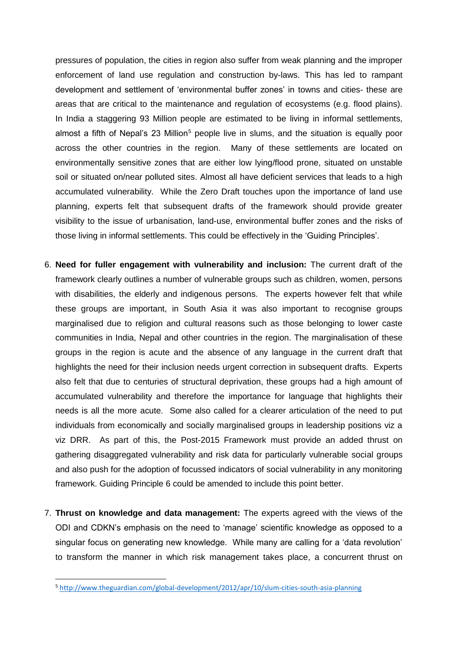pressures of population, the cities in region also suffer from weak planning and the improper enforcement of land use regulation and construction by-laws. This has led to rampant development and settlement of 'environmental buffer zones' in towns and cities- these are areas that are critical to the maintenance and regulation of ecosystems (e.g. flood plains). In India a staggering 93 Million people are estimated to be living in informal settlements, almost a fifth of Nepal's 23 Million<sup>5</sup> people live in slums, and the situation is equally poor across the other countries in the region. Many of these settlements are located on environmentally sensitive zones that are either low lying/flood prone, situated on unstable soil or situated on/near polluted sites. Almost all have deficient services that leads to a high accumulated vulnerability. While the Zero Draft touches upon the importance of land use planning, experts felt that subsequent drafts of the framework should provide greater visibility to the issue of urbanisation, land-use, environmental buffer zones and the risks of those living in informal settlements. This could be effectively in the 'Guiding Principles'.

- 6. **Need for fuller engagement with vulnerability and inclusion:** The current draft of the framework clearly outlines a number of vulnerable groups such as children, women, persons with disabilities, the elderly and indigenous persons. The experts however felt that while these groups are important, in South Asia it was also important to recognise groups marginalised due to religion and cultural reasons such as those belonging to lower caste communities in India, Nepal and other countries in the region. The marginalisation of these groups in the region is acute and the absence of any language in the current draft that highlights the need for their inclusion needs urgent correction in subsequent drafts. Experts also felt that due to centuries of structural deprivation, these groups had a high amount of accumulated vulnerability and therefore the importance for language that highlights their needs is all the more acute. Some also called for a clearer articulation of the need to put individuals from economically and socially marginalised groups in leadership positions viz a viz DRR. As part of this, the Post-2015 Framework must provide an added thrust on gathering disaggregated vulnerability and risk data for particularly vulnerable social groups and also push for the adoption of focussed indicators of social vulnerability in any monitoring framework. Guiding Principle 6 could be amended to include this point better.
- 7. **Thrust on knowledge and data management:** The experts agreed with the views of the ODI and CDKN's emphasis on the need to 'manage' scientific knowledge as opposed to a singular focus on generating new knowledge. While many are calling for a 'data revolution' to transform the manner in which risk management takes place, a concurrent thrust on

**.** 

<sup>5</sup> <http://www.theguardian.com/global-development/2012/apr/10/slum-cities-south-asia-planning>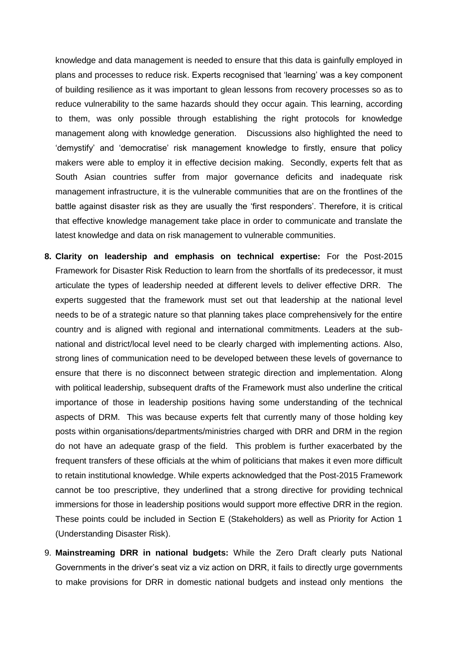knowledge and data management is needed to ensure that this data is gainfully employed in plans and processes to reduce risk. Experts recognised that 'learning' was a key component of building resilience as it was important to glean lessons from recovery processes so as to reduce vulnerability to the same hazards should they occur again. This learning, according to them, was only possible through establishing the right protocols for knowledge management along with knowledge generation. Discussions also highlighted the need to 'demystify' and 'democratise' risk management knowledge to firstly, ensure that policy makers were able to employ it in effective decision making. Secondly, experts felt that as South Asian countries suffer from major governance deficits and inadequate risk management infrastructure, it is the vulnerable communities that are on the frontlines of the battle against disaster risk as they are usually the 'first responders'. Therefore, it is critical that effective knowledge management take place in order to communicate and translate the latest knowledge and data on risk management to vulnerable communities.

- **8. Clarity on leadership and emphasis on technical expertise:** For the Post-2015 Framework for Disaster Risk Reduction to learn from the shortfalls of its predecessor, it must articulate the types of leadership needed at different levels to deliver effective DRR. The experts suggested that the framework must set out that leadership at the national level needs to be of a strategic nature so that planning takes place comprehensively for the entire country and is aligned with regional and international commitments. Leaders at the subnational and district/local level need to be clearly charged with implementing actions. Also, strong lines of communication need to be developed between these levels of governance to ensure that there is no disconnect between strategic direction and implementation. Along with political leadership, subsequent drafts of the Framework must also underline the critical importance of those in leadership positions having some understanding of the technical aspects of DRM. This was because experts felt that currently many of those holding key posts within organisations/departments/ministries charged with DRR and DRM in the region do not have an adequate grasp of the field. This problem is further exacerbated by the frequent transfers of these officials at the whim of politicians that makes it even more difficult to retain institutional knowledge. While experts acknowledged that the Post-2015 Framework cannot be too prescriptive, they underlined that a strong directive for providing technical immersions for those in leadership positions would support more effective DRR in the region. These points could be included in Section E (Stakeholders) as well as Priority for Action 1 (Understanding Disaster Risk).
- 9. **Mainstreaming DRR in national budgets:** While the Zero Draft clearly puts National Governments in the driver's seat viz a viz action on DRR, it fails to directly urge governments to make provisions for DRR in domestic national budgets and instead only mentions the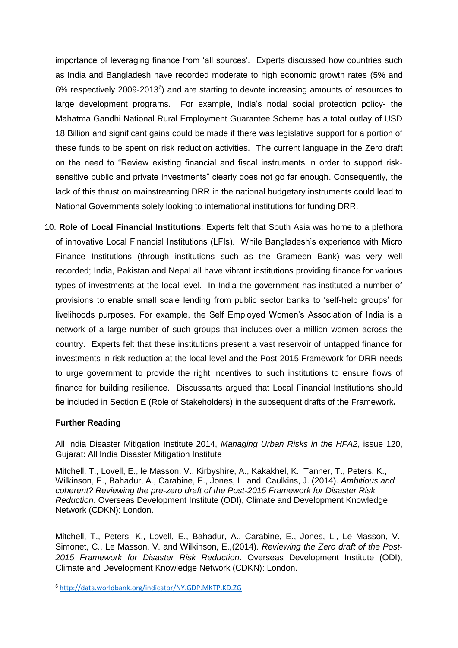importance of leveraging finance from 'all sources'. Experts discussed how countries such as India and Bangladesh have recorded moderate to high economic growth rates (5% and 6% respectively 2009-2013<sup>6</sup>) and are starting to devote increasing amounts of resources to large development programs. For example, India's nodal social protection policy- the Mahatma Gandhi National Rural Employment Guarantee Scheme has a total outlay of USD 18 Billion and significant gains could be made if there was legislative support for a portion of these funds to be spent on risk reduction activities. The current language in the Zero draft on the need to "Review existing financial and fiscal instruments in order to support risksensitive public and private investments" clearly does not go far enough. Consequently, the lack of this thrust on mainstreaming DRR in the national budgetary instruments could lead to National Governments solely looking to international institutions for funding DRR.

10. **Role of Local Financial Institutions**: Experts felt that South Asia was home to a plethora of innovative Local Financial Institutions (LFIs). While Bangladesh's experience with Micro Finance Institutions (through institutions such as the Grameen Bank) was very well recorded; India, Pakistan and Nepal all have vibrant institutions providing finance for various types of investments at the local level. In India the government has instituted a number of provisions to enable small scale lending from public sector banks to 'self-help groups' for livelihoods purposes. For example, the Self Employed Women's Association of India is a network of a large number of such groups that includes over a million women across the country. Experts felt that these institutions present a vast reservoir of untapped finance for investments in risk reduction at the local level and the Post-2015 Framework for DRR needs to urge government to provide the right incentives to such institutions to ensure flows of finance for building resilience. Discussants argued that Local Financial Institutions should be included in Section E (Role of Stakeholders) in the subsequent drafts of the Framework**.** 

## **Further Reading**

**.** 

All India Disaster Mitigation Institute 2014, *Managing Urban Risks in the HFA2*, issue 120, Gujarat: All India Disaster Mitigation Institute

Mitchell, T., Lovell, E., le Masson, V., Kirbyshire, A., Kakakhel, K., Tanner, T., Peters, K., Wilkinson, E., Bahadur, A., Carabine, E., Jones, L. and Caulkins, J. (2014). *Ambitious and coherent? Reviewing the pre-zero draft of the Post-2015 Framework for Disaster Risk Reduction*. Overseas Development Institute (ODI), Climate and Development Knowledge Network (CDKN): London.

Mitchell, T., Peters, K., Lovell, E., Bahadur, A., Carabine, E., Jones, L., Le Masson, V., Simonet, C., Le Masson, V. and Wilkinson, E.,(2014). *Reviewing the Zero draft of the Post-2015 Framework for Disaster Risk Reduction*. Overseas Development Institute (ODI), Climate and Development Knowledge Network (CDKN): London.

<sup>6</sup> <http://data.worldbank.org/indicator/NY.GDP.MKTP.KD.ZG>